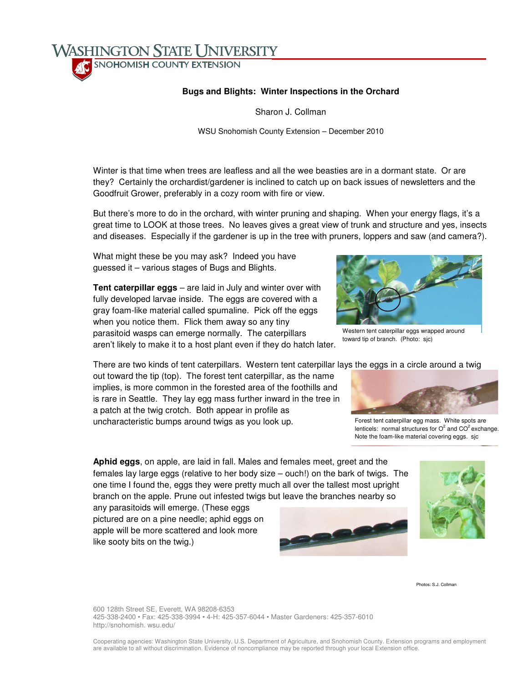SNOHOMISH COUNTY EXTENSION

**WASHINGTON STATE UNIVERSITY** 

## **Bugs and Blights: Winter Inspections in the Orchard**

Sharon J. Collman

WSU Snohomish County Extension – December 2010

Winter is that time when trees are leafless and all the wee beasties are in a dormant state. Or are they? Certainly the orchardist/gardener is inclined to catch up on back issues of newsletters and the Goodfruit Grower, preferably in a cozy room with fire or view.

But there's more to do in the orchard, with winter pruning and shaping. When your energy flags, it's a great time to LOOK at those trees. No leaves gives a great view of trunk and structure and yes, insects and diseases. Especially if the gardener is up in the tree with pruners, loppers and saw (and camera?).

What might these be you may ask? Indeed you have guessed it – various stages of Bugs and Blights.

**Tent caterpillar eggs** – are laid in July and winter over with fully developed larvae inside. The eggs are covered with a gray foam-like material called spumaline. Pick off the eggs when you notice them. Flick them away so any tiny parasitoid wasps can emerge normally. The caterpillars aren't likely to make it to a host plant even if they do hatch later.

There are two kinds of tent caterpillars. Western tent caterpillar lays the eggs in a circle around a twig

out toward the tip (top). The forest tent caterpillar, as the name implies, is more common in the forested area of the foothills and is rare in Seattle. They lay egg mass further inward in the tree in a patch at the twig crotch. Both appear in profile as uncharacteristic bumps around twigs as you look up.

**Aphid eggs**, on apple, are laid in fall. Males and females meet, greet and the females lay large eggs (relative to her body size – ouch!) on the bark of twigs. The one time I found the, eggs they were pretty much all over the tallest most upright branch on the apple. Prune out infested twigs but leave the branches nearby so

any parasitoids will emerge. (These eggs pictured are on a pine needle; aphid eggs on apple will be more scattered and look more like sooty bits on the twig.)

## Photos: S.J. Collman

600 128th Street SE, Everett, WA 98208-6353 425-338-2400 • Fax: 425-338-3994 • 4-H: 425-357-6044 • Master Gardeners: 425-357-6010 http://snohomish. wsu.edu/



Western tent caterpillar eggs wrapped around toward tip of branch. (Photo: sjc)



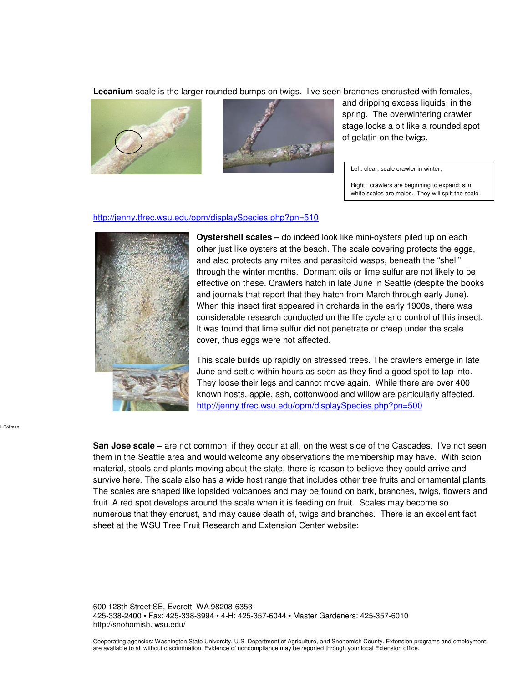**Lecanium** scale is the larger rounded bumps on twigs. I've seen branches encrusted with females,





and dripping excess liquids, in the spring. The overwintering crawler stage looks a bit like a rounded spot of gelatin on the twigs.

Left: clear, scale crawler in winter;

Right: crawlers are beginning to expand; slim white scales are males. They will split the scale

## http://jenny.tfrec.wsu.edu/opm/displaySpecies.php?pn=510



J. Collman

**Oystershell scales –** do indeed look like mini-oysters piled up on each other just like oysters at the beach. The scale covering protects the eggs, and also protects any mites and parasitoid wasps, beneath the "shell" through the winter months. Dormant oils or lime sulfur are not likely to be effective on these. Crawlers hatch in late June in Seattle (despite the books and journals that report that they hatch from March through early June). When this insect first appeared in orchards in the early 1900s, there was considerable research conducted on the life cycle and control of this insect. It was found that lime sulfur did not penetrate or creep under the scale cover, thus eggs were not affected.

This scale builds up rapidly on stressed trees. The crawlers emerge in late June and settle within hours as soon as they find a good spot to tap into. They loose their legs and cannot move again. While there are over 400 known hosts, apple, ash, cottonwood and willow are particularly affected. http://jenny.tfrec.wsu.edu/opm/displaySpecies.php?pn=500

**San Jose scale –** are not common, if they occur at all, on the west side of the Cascades. I've not seen them in the Seattle area and would welcome any observations the membership may have. With scion material, stools and plants moving about the state, there is reason to believe they could arrive and survive here. The scale also has a wide host range that includes other tree fruits and ornamental plants. The scales are shaped like lopsided volcanoes and may be found on bark, branches, twigs, flowers and fruit. A red spot develops around the scale when it is feeding on fruit. Scales may become so numerous that they encrust, and may cause death of, twigs and branches. There is an excellent fact sheet at the WSU Tree Fruit Research and Extension Center website:

600 128th Street SE, Everett, WA 98208-6353 425-338-2400 • Fax: 425-338-3994 • 4-H: 425-357-6044 • Master Gardeners: 425-357-6010 http://snohomish. wsu.edu/

Cooperating agencies: Washington State University, U.S. Department of Agriculture, and Snohomish County. Extension programs and employment are available to all without discrimination. Evidence of noncompliance may be reported through your local Extension office.